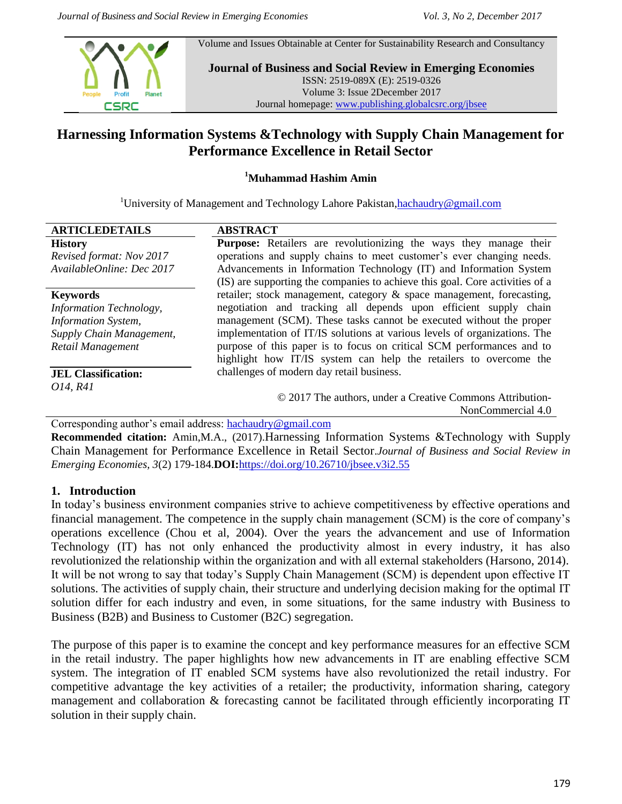Volume and Issues Obtainable at Center for Sustainability Research and Consultancy



**Journal of Business and Social Review in Emerging Economies** ISSN: 2519-089X (E): 2519-0326 Volume 3: Issue 2December 2017 Journal homepage: [www.publishing.globalcsrc.org/jbsee](http://www.publishing.globalcsrc.org/jbsee)

# **Harnessing Information Systems &Technology with Supply Chain Management for Performance Excellence in Retail Sector**

#### **<sup>1</sup>Muhammad Hashim Amin**

<sup>1</sup>University of Management and Technology Lahore Pakistan, hachaudry@gmail.com

| <b>ARTICLEDETAILS</b>      | <b>ABSTRACT</b>                                                              |
|----------------------------|------------------------------------------------------------------------------|
| <b>History</b>             | Purpose: Retailers are revolutionizing the ways they manage their            |
| Revised format: Nov 2017   | operations and supply chains to meet customer's ever changing needs.         |
| AvailableOnline: Dec 2017  | Advancements in Information Technology (IT) and Information System           |
|                            | (IS) are supporting the companies to achieve this goal. Core activities of a |
| <b>Keywords</b>            | retailer; stock management, category & space management, forecasting,        |
| Information Technology,    | negotiation and tracking all depends upon efficient supply chain             |
| <b>Information System,</b> | management (SCM). These tasks cannot be executed without the proper          |
| Supply Chain Management,   | implementation of IT/IS solutions at various levels of organizations. The    |
| Retail Management          | purpose of this paper is to focus on critical SCM performances and to        |
|                            | highlight how IT/IS system can help the retailers to overcome the            |
| <b>JEL Classification:</b> | challenges of modern day retail business.                                    |
| O14, R41                   |                                                                              |
|                            | © 2017 The authors, under a Creative Commons Attribution-                    |
|                            | NonCommercial 4.0                                                            |

Corresponding author's email address: [hachaudry@gmail.com](mailto:hachaudry@gmail.com)

**Recommended citation:** Amin,M.A., (2017).Harnessing Information Systems &Technology with Supply Chain Management for Performance Excellence in Retail Sector.*Journal of Business and Social Review in Emerging Economies, 3*(2) 179-184.**DOI:**<https://doi.org/10.26710/jbsee.v3i2.55>

### **1. Introduction**

In today's business environment companies strive to achieve competitiveness by effective operations and financial management. The competence in the supply chain management (SCM) is the core of company's operations excellence (Chou et al, 2004). Over the years the advancement and use of Information Technology (IT) has not only enhanced the productivity almost in every industry, it has also revolutionized the relationship within the organization and with all external stakeholders (Harsono, 2014). It will be not wrong to say that today's Supply Chain Management (SCM) is dependent upon effective IT solutions. The activities of supply chain, their structure and underlying decision making for the optimal IT solution differ for each industry and even, in some situations, for the same industry with Business to Business (B2B) and Business to Customer (B2C) segregation.

The purpose of this paper is to examine the concept and key performance measures for an effective SCM in the retail industry. The paper highlights how new advancements in IT are enabling effective SCM system. The integration of IT enabled SCM systems have also revolutionized the retail industry. For competitive advantage the key activities of a retailer; the productivity, information sharing, category management and collaboration & forecasting cannot be facilitated through efficiently incorporating IT solution in their supply chain.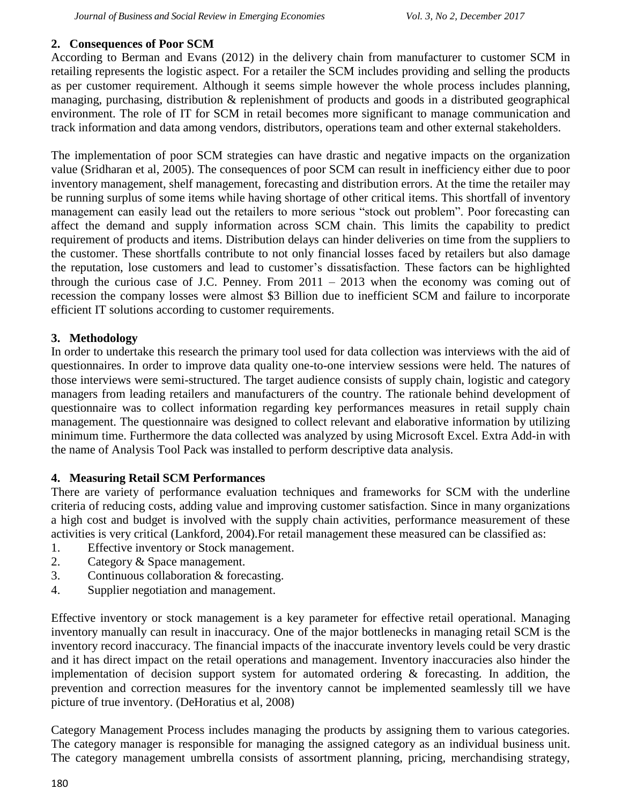#### **2. Consequences of Poor SCM**

According to Berman and Evans (2012) in the delivery chain from manufacturer to customer SCM in retailing represents the logistic aspect. For a retailer the SCM includes providing and selling the products as per customer requirement. Although it seems simple however the whole process includes planning, managing, purchasing, distribution & replenishment of products and goods in a distributed geographical environment. The role of IT for SCM in retail becomes more significant to manage communication and track information and data among vendors, distributors, operations team and other external stakeholders.

The implementation of poor SCM strategies can have drastic and negative impacts on the organization value (Sridharan et al, 2005). The consequences of poor SCM can result in inefficiency either due to poor inventory management, shelf management, forecasting and distribution errors. At the time the retailer may be running surplus of some items while having shortage of other critical items. This shortfall of inventory management can easily lead out the retailers to more serious "stock out problem". Poor forecasting can affect the demand and supply information across SCM chain. This limits the capability to predict requirement of products and items. Distribution delays can hinder deliveries on time from the suppliers to the customer. These shortfalls contribute to not only financial losses faced by retailers but also damage the reputation, lose customers and lead to customer's dissatisfaction. These factors can be highlighted through the curious case of J.C. Penney. From 2011 – 2013 when the economy was coming out of recession the company losses were almost \$3 Billion due to inefficient SCM and failure to incorporate efficient IT solutions according to customer requirements.

### **3. Methodology**

In order to undertake this research the primary tool used for data collection was interviews with the aid of questionnaires. In order to improve data quality one-to-one interview sessions were held. The natures of those interviews were semi-structured. The target audience consists of supply chain, logistic and category managers from leading retailers and manufacturers of the country. The rationale behind development of questionnaire was to collect information regarding key performances measures in retail supply chain management. The questionnaire was designed to collect relevant and elaborative information by utilizing minimum time. Furthermore the data collected was analyzed by using Microsoft Excel. Extra Add-in with the name of Analysis Tool Pack was installed to perform descriptive data analysis.

### **4. Measuring Retail SCM Performances**

There are variety of performance evaluation techniques and frameworks for SCM with the underline criteria of reducing costs, adding value and improving customer satisfaction. Since in many organizations a high cost and budget is involved with the supply chain activities, performance measurement of these activities is very critical (Lankford, 2004).For retail management these measured can be classified as:

- 1. Effective inventory or Stock management.
- 2. Category & Space management.
- 3. Continuous collaboration & forecasting.
- 4. Supplier negotiation and management.

Effective inventory or stock management is a key parameter for effective retail operational. Managing inventory manually can result in inaccuracy. One of the major bottlenecks in managing retail SCM is the inventory record inaccuracy. The financial impacts of the inaccurate inventory levels could be very drastic and it has direct impact on the retail operations and management. Inventory inaccuracies also hinder the implementation of decision support system for automated ordering  $\&$  forecasting. In addition, the prevention and correction measures for the inventory cannot be implemented seamlessly till we have picture of true inventory. (DeHoratius et al, 2008)

Category Management Process includes managing the products by assigning them to various categories. The category manager is responsible for managing the assigned category as an individual business unit. The category management umbrella consists of assortment planning, pricing, merchandising strategy,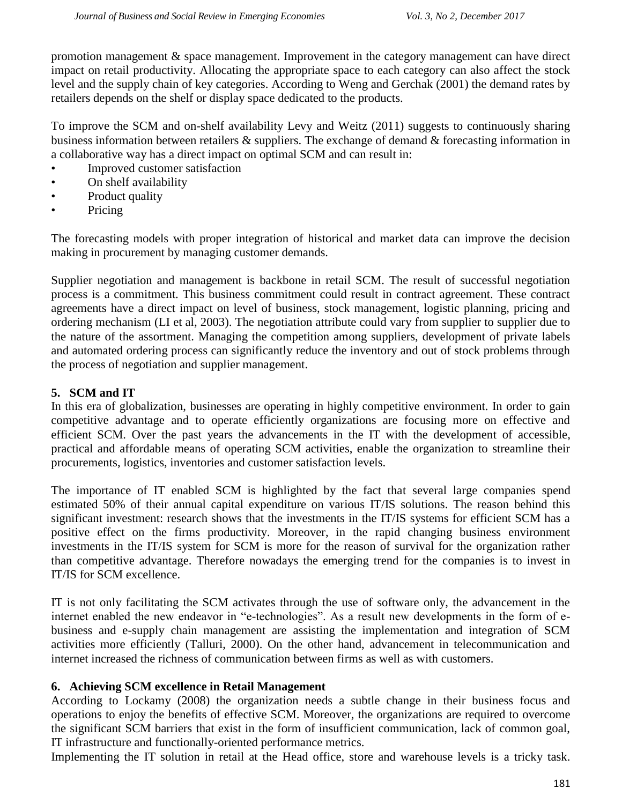promotion management & space management. Improvement in the category management can have direct impact on retail productivity. Allocating the appropriate space to each category can also affect the stock level and the supply chain of key categories. According to Weng and Gerchak (2001) the demand rates by retailers depends on the shelf or display space dedicated to the products.

To improve the SCM and on-shelf availability Levy and Weitz (2011) suggests to continuously sharing business information between retailers & suppliers. The exchange of demand & forecasting information in a collaborative way has a direct impact on optimal SCM and can result in:

- Improved customer satisfaction
- On shelf availability
- Product quality
- Pricing

The forecasting models with proper integration of historical and market data can improve the decision making in procurement by managing customer demands.

Supplier negotiation and management is backbone in retail SCM. The result of successful negotiation process is a commitment. This business commitment could result in contract agreement. These contract agreements have a direct impact on level of business, stock management, logistic planning, pricing and ordering mechanism (LI et al, 2003). The negotiation attribute could vary from supplier to supplier due to the nature of the assortment. Managing the competition among suppliers, development of private labels and automated ordering process can significantly reduce the inventory and out of stock problems through the process of negotiation and supplier management.

# **5. SCM and IT**

In this era of globalization, businesses are operating in highly competitive environment. In order to gain competitive advantage and to operate efficiently organizations are focusing more on effective and efficient SCM. Over the past years the advancements in the IT with the development of accessible, practical and affordable means of operating SCM activities, enable the organization to streamline their procurements, logistics, inventories and customer satisfaction levels.

The importance of IT enabled SCM is highlighted by the fact that several large companies spend estimated 50% of their annual capital expenditure on various IT/IS solutions. The reason behind this significant investment: research shows that the investments in the IT/IS systems for efficient SCM has a positive effect on the firms productivity. Moreover, in the rapid changing business environment investments in the IT/IS system for SCM is more for the reason of survival for the organization rather than competitive advantage. Therefore nowadays the emerging trend for the companies is to invest in IT/IS for SCM excellence.

IT is not only facilitating the SCM activates through the use of software only, the advancement in the internet enabled the new endeavor in "e-technologies". As a result new developments in the form of ebusiness and e-supply chain management are assisting the implementation and integration of SCM activities more efficiently (Talluri, 2000). On the other hand, advancement in telecommunication and internet increased the richness of communication between firms as well as with customers.

### **6. Achieving SCM excellence in Retail Management**

According to Lockamy (2008) the organization needs a subtle change in their business focus and operations to enjoy the benefits of effective SCM. Moreover, the organizations are required to overcome the significant SCM barriers that exist in the form of insufficient communication, lack of common goal, IT infrastructure and functionally-oriented performance metrics.

Implementing the IT solution in retail at the Head office, store and warehouse levels is a tricky task.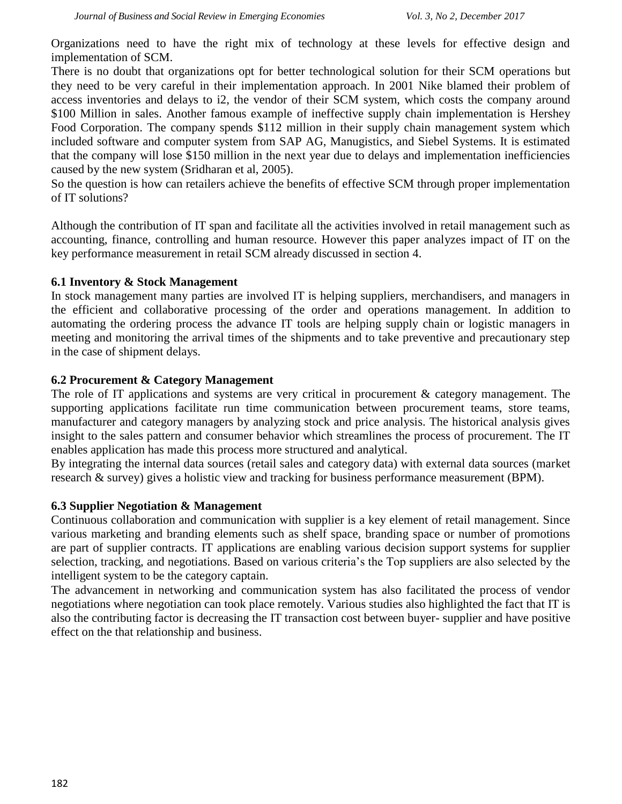Organizations need to have the right mix of technology at these levels for effective design and implementation of SCM.

There is no doubt that organizations opt for better technological solution for their SCM operations but they need to be very careful in their implementation approach. In 2001 Nike blamed their problem of access inventories and delays to i2, the vendor of their SCM system, which costs the company around \$100 Million in sales. Another famous example of ineffective supply chain implementation is Hershey Food Corporation. The company spends \$112 million in their supply chain management system which included software and computer system from SAP AG, Manugistics, and Siebel Systems. It is estimated that the company will lose \$150 million in the next year due to delays and implementation inefficiencies caused by the new system (Sridharan et al, 2005).

So the question is how can retailers achieve the benefits of effective SCM through proper implementation of IT solutions?

Although the contribution of IT span and facilitate all the activities involved in retail management such as accounting, finance, controlling and human resource. However this paper analyzes impact of IT on the key performance measurement in retail SCM already discussed in section 4.

#### **6.1 Inventory & Stock Management**

In stock management many parties are involved IT is helping suppliers, merchandisers, and managers in the efficient and collaborative processing of the order and operations management. In addition to automating the ordering process the advance IT tools are helping supply chain or logistic managers in meeting and monitoring the arrival times of the shipments and to take preventive and precautionary step in the case of shipment delays.

#### **6.2 Procurement & Category Management**

The role of IT applications and systems are very critical in procurement & category management. The supporting applications facilitate run time communication between procurement teams, store teams, manufacturer and category managers by analyzing stock and price analysis. The historical analysis gives insight to the sales pattern and consumer behavior which streamlines the process of procurement. The IT enables application has made this process more structured and analytical.

By integrating the internal data sources (retail sales and category data) with external data sources (market research & survey) gives a holistic view and tracking for business performance measurement (BPM).

### **6.3 Supplier Negotiation & Management**

Continuous collaboration and communication with supplier is a key element of retail management. Since various marketing and branding elements such as shelf space, branding space or number of promotions are part of supplier contracts. IT applications are enabling various decision support systems for supplier selection, tracking, and negotiations. Based on various criteria's the Top suppliers are also selected by the intelligent system to be the category captain.

The advancement in networking and communication system has also facilitated the process of vendor negotiations where negotiation can took place remotely. Various studies also highlighted the fact that IT is also the contributing factor is decreasing the IT transaction cost between buyer- supplier and have positive effect on the that relationship and business.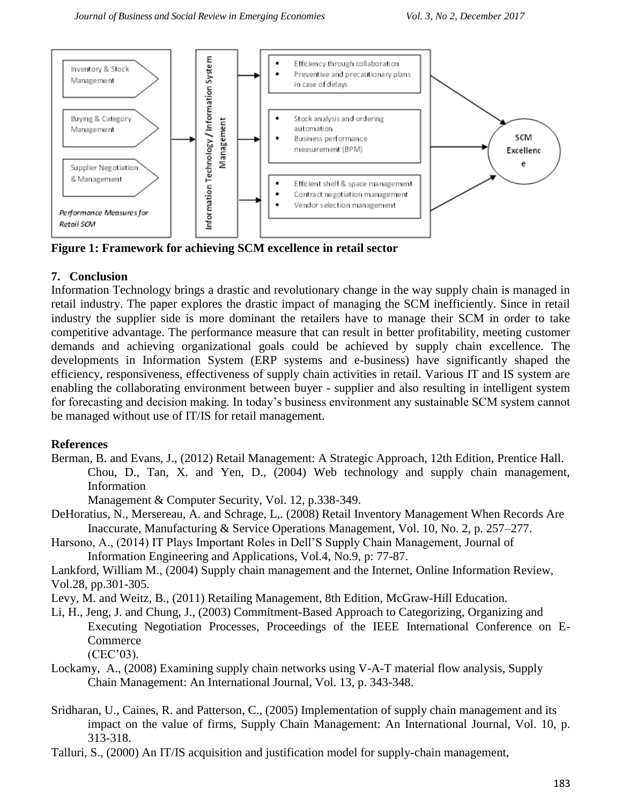

**Figure 1: Framework for achieving SCM excellence in retail sector**

# **7. Conclusion**

Information Technology brings a drastic and revolutionary change in the way supply chain is managed in retail industry. The paper explores the drastic impact of managing the SCM inefficiently. Since in retail industry the supplier side is more dominant the retailers have to manage their SCM in order to take competitive advantage. The performance measure that can result in better profitability, meeting customer demands and achieving organizational goals could be achieved by supply chain excellence. The developments in Information System (ERP systems and e-business) have significantly shaped the efficiency, responsiveness, effectiveness of supply chain activities in retail. Various IT and IS system are enabling the collaborating environment between buyer - supplier and also resulting in intelligent system for forecasting and decision making. In today's business environment any sustainable SCM system cannot be managed without use of IT/IS for retail management.

# **References**

Berman, B. and Evans, J., (2012) Retail Management: A Strategic Approach, 12th Edition, Prentice Hall. Chou, D., Tan, X. and Yen, D., (2004) Web technology and supply chain management, Information

Management & Computer Security, Vol. 12, p.338-349.

- DeHoratius, N., Mersereau, A. and Schrage, L,. (2008) Retail Inventory Management When Records Are Inaccurate, Manufacturing & Service Operations Management, Vol. 10, No. 2, p. 257–277.
- Harsono, A., (2014) IT Plays Important Roles in Dell'S Supply Chain Management, Journal of Information Engineering and Applications, Vol.4, No.9, p: 77-87.
- Lankford, William M., (2004) Supply chain management and the Internet, Online Information Review, Vol.28, pp.301-305.
- Levy, M. and Weitz, B., (2011) Retailing Management, 8th Edition, McGraw-Hill Education.
- Li, H., Jeng, J. and Chung, J., (2003) Commitment-Based Approach to Categorizing, Organizing and Executing Negotiation Processes, Proceedings of the IEEE International Conference on E-**Commerce**

(CEC'03).

- Lockamy, A., (2008) Examining supply chain networks using V-A-T material flow analysis, Supply Chain Management: An International Journal, Vol. 13, p. 343-348.
- Sridharan, U., Caines, R. and Patterson, C., (2005) Implementation of supply chain management and its impact on the value of firms, Supply Chain Management: An International Journal, Vol. 10, p. 313-318.

Talluri, S., (2000) An IT/IS acquisition and justification model for supply-chain management,